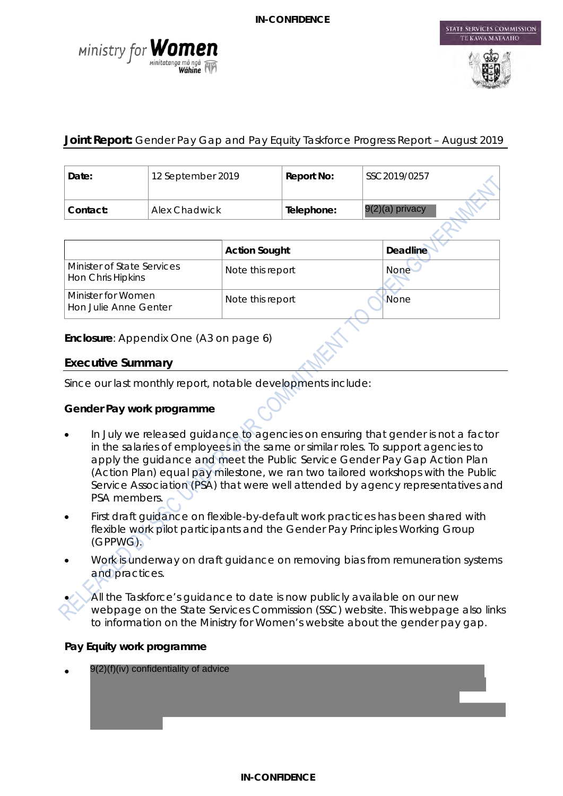



STATE SERVICES COMMISSION

## **Joint Report:** Gender Pay Gap and Pay Equity Taskforce Progress Report – August 2019

| Date:    | 12 September 2019 | Report No: | SSC2019/0257      |  |
|----------|-------------------|------------|-------------------|--|
| Contact: | Alex Chadwick     | Telephone: | $9(2)(a)$ privacy |  |

|                                                 | <b>Action Sought</b> | <b>Deadline</b> |
|-------------------------------------------------|----------------------|-----------------|
| Minister of State Services<br>Hon Chris Hipkins | Note this report     | <b>None</b>     |
| Minister for Women<br>Hon Julie Anne Genter     | Note this report     | None            |

**Enclosure**: Appendix One (A3 on page 6)

#### **Executive Summary**

Since our last monthly report, notable developments include:

#### **Gender Pay work programme**

- In July we released guidance to agencies on ensuring that gender is not a factor in the salaries of employees in the same or similar roles. To support agencies to apply the guidance and meet the Public Service Gender Pay Gap Action Plan (Action Plan) equal pay milestone, we ran two tailored workshops with the Public Service Association (PSA) that were well attended by agency representatives and PSA members.
- First draft quidance on flexible-by-default work practices has been shared with flexible work pilot participants and the Gender Pay Principles Working Group (GPPWG).
- Work is underway on draft guidance on removing bias from remuneration systems and practices.

All the Taskforce's guidance to date is now publicly available on our new webpage on the State Services Commission (SSC) website. This webpage also links to information on the Ministry for Women's website about the gender pay gap.

#### **Pay Equity work programme**

• 9(2)(f)(iv) confidentiality of advice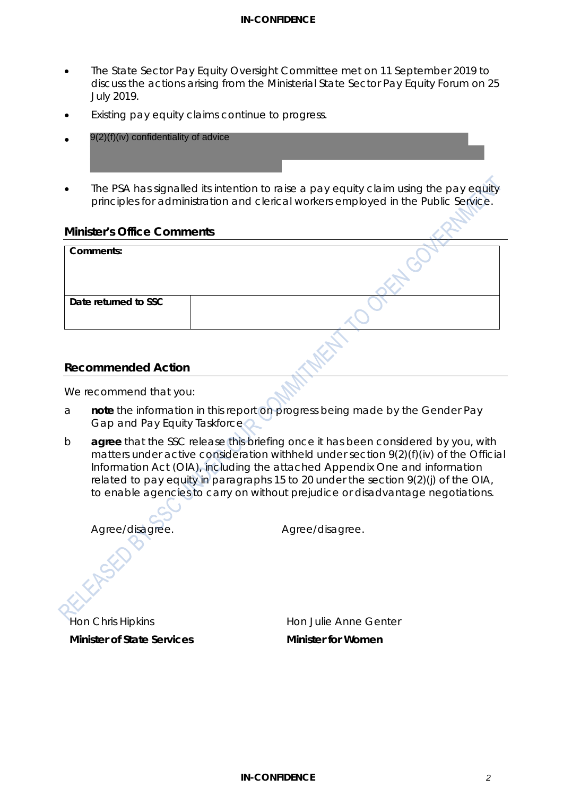#### **IN-CONFIDENCE**

- The State Sector Pay Equity Oversight Committee met on 11 September 2019 to discuss the actions arising from the Ministerial State Sector Pay Equity Forum on 25 July 2019.
- Existing pay equity claims continue to progress.
- 9(2)(f)(iv) confidentiality of advice
- The PSA has signalled its intention to raise a pay equity claim using the pay equity principles for administration and clerical workers employed in the Public Service.

#### **Minister's Office Comments**

| Comments:            |  |
|----------------------|--|
|                      |  |
| Date returned to SSC |  |
|                      |  |

#### **Recommended Action**

We recommend that you:

- a **note** the information in this report on progress being made by the Gender Pay Gap and Pay Equity Taskforce
- b **agree** that the SSC release this briefing once it has been considered by you, with matters under active consideration withheld under section 9(2)(f)(iv) of the Official Information Act (OIA), including the attached Appendix One and information related to pay equity in paragraphs 15 to 20 under the section 9(2)(j) of the OIA, to enable agencies to carry on without prejudice or disadvantage negotiations.

*Agree/disagree. Agree/disagree.* Hon Chris Hipkins

**Minister of State Services**

Hon Julie Anne Genter **Minister for Women**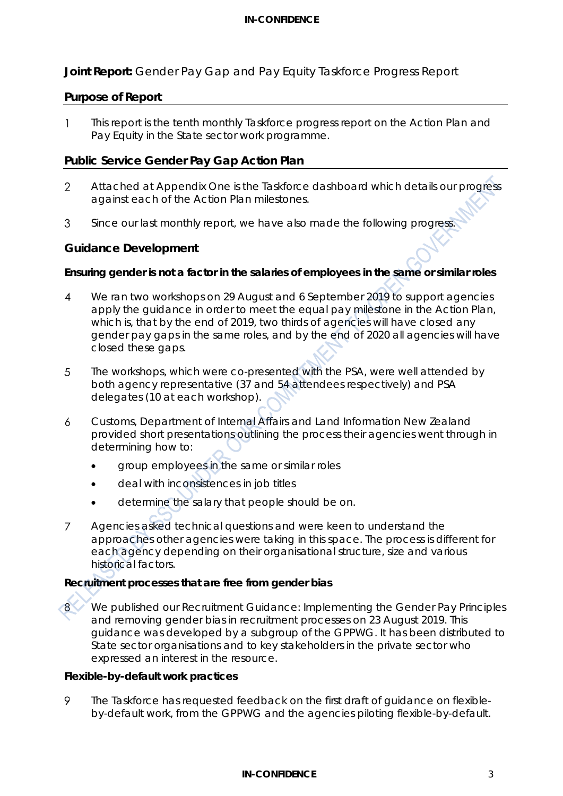## **Joint Report:** Gender Pay Gap and Pay Equity Taskforce Progress Report

#### **Purpose of Report**

This report is the tenth monthly Taskforce progress report on the Action Plan and  $\mathbf{1}$ Pay Equity in the State sector work programme.

#### **Public Service Gender Pay Gap Action Plan**

- Attached at Appendix One is the Taskforce dashboard which details our progress  $\overline{2}$ against each of the Action Plan milestones.
- Since our last monthly report, we have also made the following progress. 3

#### **Guidance Development**

#### **Ensuring gender is not a factor in the salaries of employees in the same or similar roles**

- $\overline{4}$ We ran two workshops on 29 August and 6 September 2019 to support agencies apply the guidance in order to meet the equal pay milestone in the Action Plan, which is, that by the end of 2019, two thirds of agencies will have closed any gender pay gaps in the same roles, and by the end of 2020 all agencies will have closed these gaps.
- 5 The workshops, which were co-presented with the PSA, were well attended by both agency representative (37 and 54 attendees respectively) and PSA delegates (10 at each workshop).
- Customs, Department of Internal Affairs and Land Information New Zealand 6 provided short presentations outlining the process their agencies went through in determining how to:
	- group employees in the same or similar roles
	- deal with inconsistences in job titles
	- determine the salary that people should be on.
- Agencies asked technical questions and were keen to understand the  $\overline{7}$ approaches other agencies were taking in this space. The process is different for each agency depending on their organisational structure, size and various historical factors.

#### **Recruitment processes that are free from gender bias**



We published our *Recruitment Guidance: Implementing the Gender Pay Principles and removing gender bias in recruitment processes* on 23 August 2019. This guidance was developed by a subgroup of the GPPWG. It has been distributed to State sector organisations and to key stakeholders in the private sector who expressed an interest in the resource.

#### **Flexible-by-default work practices**

 $\circ$ The Taskforce has requested feedback on the first draft of guidance on flexibleby-default work, from the GPPWG and the agencies piloting flexible-by-default.

#### **IN-CONFIDENCE** 3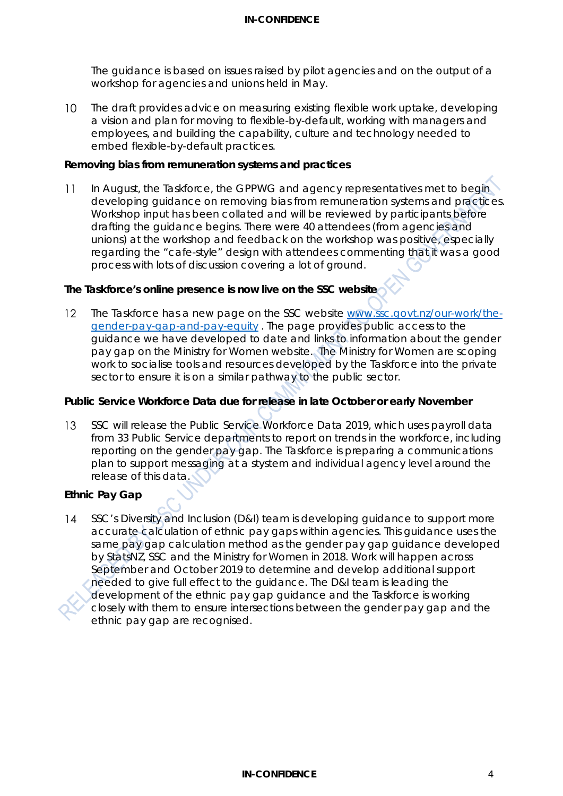#### **IN-CONFIDENCE**

The guidance is based on issues raised by pilot agencies and on the output of a workshop for agencies and unions held in May.

 $10<sup>°</sup>$ The draft provides advice on measuring existing flexible work uptake, developing a vision and plan for moving to flexible-by-default, working with managers and employees, and building the capability, culture and technology needed to embed flexible-by-default practices.

#### **Removing bias from remuneration systems and practices**

In August, the Taskforce, the GPPWG and agency representatives met to begin  $11$ developing guidance on removing bias from remuneration systems and practices. Workshop input has been collated and will be reviewed by participants before drafting the guidance begins. There were 40 attendees (from agencies and unions) at the workshop and feedback on the workshop was positive, especially regarding the "cafe-style" design with attendees commenting that it was a good process with lots of discussion covering a lot of ground.

#### **The Taskforce's online presence is now live on the SSC website**

The Taskforce has a new page on the SSC website [www.ssc.govt.nz/our-work/the-](http://www.ssc.govt.nz/our-work/the-gender-pay-gap-and-pay-equity/) $12<sup>°</sup>$ [gender-pay-gap-and-pay-equity](http://www.ssc.govt.nz/our-work/the-gender-pay-gap-and-pay-equity/) . The page provides public access to the guidance we have developed to date and links to information about the gender pay gap on the Ministry for Women website. The Ministry for Women are scoping work to socialise tools and resources developed by the Taskforce into the private sector to ensure it is on a similar pathway to the public sector.

#### **Public Service Workforce Data due for release in late October or early November**

SSC will release the Public Service Workforce Data 2019, which uses payroll data 13 from 33 Public Service departments to report on trends in the workforce, including reporting on the gender pay gap. The Taskforce is preparing a communications plan to support messaging at a stystem and individual agency level around the release of this data.

## **Ethnic Pay Gap**

SSC's Diversity and Inclusion (D&I) team is developing guidance to support more  $14$ accurate calculation of ethnic pay gaps within agencies. This guidance uses the same pay gap calculation method as the gender pay gap guidance developed by StatsNZ, SSC and the Ministry for Women in 2018. Work will happen across September and October 2019 to determine and develop additional support needed to give full effect to the guidance. The D&I team is leading the development of the ethnic pay gap guidance and the Taskforce is working closely with them to ensure intersections between the gender pay gap and the ethnic pay gap are recognised.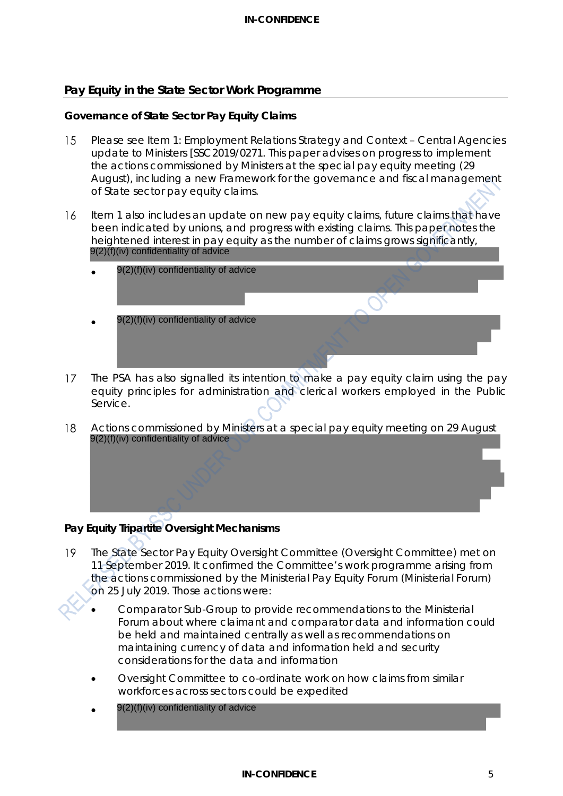### **Pay Equity in the State Sector Work Programme**

#### **Governance of State Sector Pay Equity Claims**

- 15 Please see Item 1: Employment Relations Strategy and Context – Central Agencies update to Ministers [SSC2019/0271. This paper advises on progress to implement the actions commissioned by Ministers at the special pay equity meeting (29 August), including a new Framework for the governance and fiscal management of State sector pay equity claims.
- Item 1 also includes an update on new pay equity claims, future claims that have  $16$ been indicated by unions, and progress with existing claims. This paper notes the heightened interest in pay equity as the number of claims grows significantly, 9(2)(f)(iv) confidentiality of advice
	- • 9(2)(f)(iv) confidentiality of advice 9(2)(f)(iv) confidentiality of advice
- $17$ The PSA has also signalled its intention to make a pay equity claim using the pay equity principles for administration and clerical workers employed in the Public Service.
- 18 Actions commissioned by Ministers at a special pay equity meeting on 29 August 9(2)(f)(iv) confidentiality of advice

## **Pay Equity Tripartite Oversight Mechanisms**

- 19 The State Sector Pay Equity Oversight Committee (Oversight Committee) met on 11 September 2019. It confirmed the Committee's work programme arising from the actions commissioned by the Ministerial Pay Equity Forum (Ministerial Forum) on 25 July 2019. Those actions were:
	- Comparator Sub-Group to provide recommendations to the Ministerial Forum about where claimant and comparator data and information could be held and maintained centrally as well as recommendations on maintaining currency of data and information held and security considerations for the data and information
	- Oversight Committee to co-ordinate work on how claims from similar workforces across sectors could be expedited
	- 9(2)(f)(iv) confidentiality of advice

#### **IN-CONFIDENCE** 5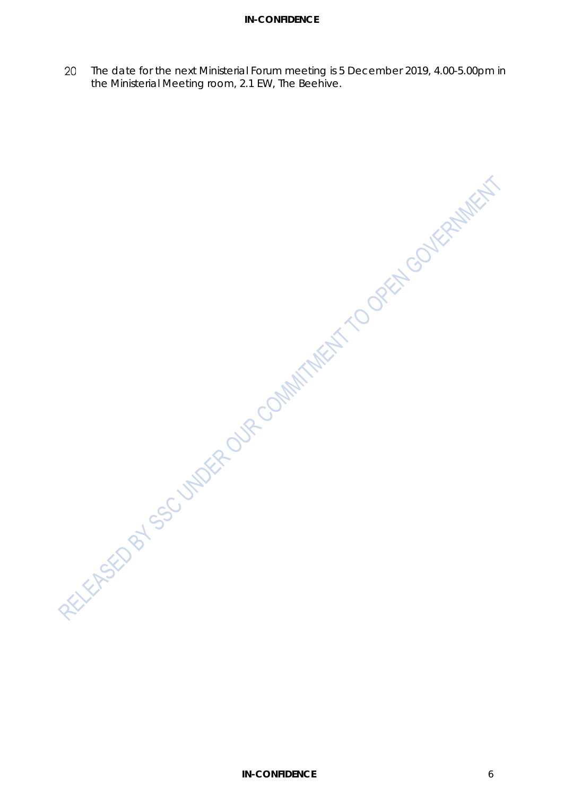#### **IN-CONFIDENCE**

The date for the next Ministerial Forum meeting is 5 December 2019, 4.00-5.00pm in 20 the Ministerial Meeting room, 2.1 EW, The Beehive.

RECYCledge of Society Assembly to the Collection of the Collection of the March 1990 of the March 1990 of the March 1990 of the March 1990 of the March 1990 of the March 1990 of the March 1990 of the March 1990 of the Marc